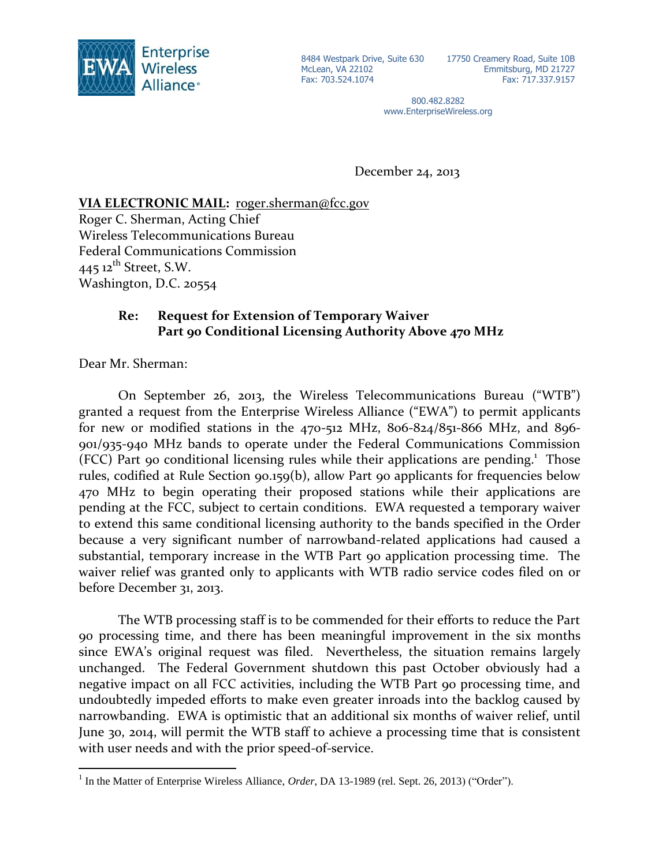

McLean, VA 22102 Fax: 703.524.1074

8484 Westpark Drive, Suite 630 17750 Creamery Road, Suite 10B Emmitsburg, MD 21727 Fax: 717.337.9157

> 800.482.8282 www.EnterpriseWireless.org

December 24, 2013

## **VIA ELECTRONIC MAIL:** roger.sherman@fcc.gov

Roger C. Sherman, Acting Chief Wireless Telecommunications Bureau Federal Communications Commission  $445$  12<sup>th</sup> Street, S.W. Washington, D.C. 20554

## **Re: Request for Extension of Temporary Waiver Part 90 Conditional Licensing Authority Above 470 MHz**

Dear Mr. Sherman:

 $\overline{a}$ 

On September 26, 2013, the Wireless Telecommunications Bureau ("WTB") granted a request from the Enterprise Wireless Alliance ("EWA") to permit applicants for new or modified stations in the  $470-512$  MHz,  $806-824/851-866$  MHz, and  $806-$ 901/935-940 MHz bands to operate under the Federal Communications Commission (FCC) Part 90 conditional licensing rules while their applications are pending.<sup>1</sup> Those rules, codified at Rule Section 90.159(b), allow Part 90 applicants for frequencies below 470 MHz to begin operating their proposed stations while their applications are pending at the FCC, subject to certain conditions. EWA requested a temporary waiver to extend this same conditional licensing authority to the bands specified in the Order because a very significant number of narrowband-related applications had caused a substantial, temporary increase in the WTB Part 90 application processing time. The waiver relief was granted only to applicants with WTB radio service codes filed on or before December 31, 2013.

The WTB processing staff is to be commended for their efforts to reduce the Part 90 processing time, and there has been meaningful improvement in the six months since EWA's original request was filed. Nevertheless, the situation remains largely unchanged. The Federal Government shutdown this past October obviously had a negative impact on all FCC activities, including the WTB Part 90 processing time, and undoubtedly impeded efforts to make even greater inroads into the backlog caused by narrowbanding. EWA is optimistic that an additional six months of waiver relief, until June 30, 2014, will permit the WTB staff to achieve a processing time that is consistent with user needs and with the prior speed-of-service.

<sup>&</sup>lt;sup>1</sup> In the Matter of Enterprise Wireless Alliance, *Order*, DA 13-1989 (rel. Sept. 26, 2013) ("Order").